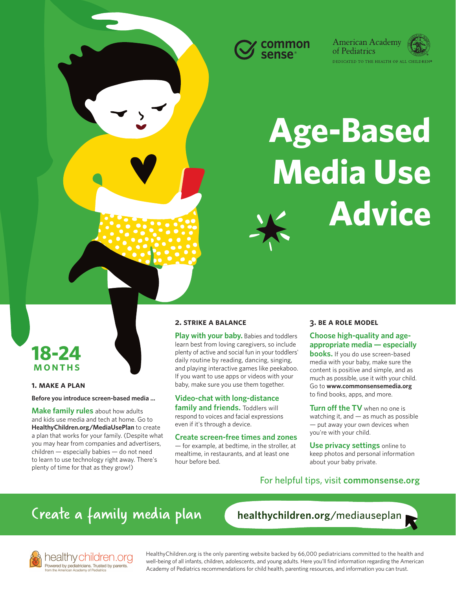



# **Age-Based Media Use Advice**



### **1. make a plan**

**Before you introduce screen-based media ...**

**Make family rules** about how adults and kids use media and tech at home. Go to **[HealthyChildren.org/MediaUsePlan](https://www.healthychildren.org/English/media/Pages/default.aspx)** to create a plan that works for your family. (Despite what you may hear from companies and advertisers, children — especially babies — do not need to learn to use technology right away. There's plenty of time for that as they grow!)

healthy children.org<br>Powered by pediatricians, Trusted by parents.

# **2. strike a balance**

**Play with your baby.** Babies and toddlers learn best from loving caregivers, so include plenty of active and social fun in your toddlers' daily routine by reading, dancing, singing, and playing interactive games like peekaboo. If you want to use apps or videos with your baby, make sure you use them together.

**Video-chat with long-distance family and friends.** Toddlers will

respond to voices and facial expressions even if it's through a device. **Create screen-free times and zones**

— for example, at bedtime, in the stroller, at mealtime, in restaurants, and at least one hour before bed.

# **3. be a role model**

**Choose high-quality and ageappropriate media — especially books.** If you do use screen-based media with your baby, make sure the content is positive and simple, and as

much as possible, use it with your child. Go to **[www.commonsensemedia.org](https://www.commonsensemedia.org/)** to find books, apps, and more.

**Turn off the TV** when no one is watching it, and — as much as possible — put away your own devices when you're with your child.

**Use privacy settings** online to keep photos and personal information about your baby private.

# [For helpful tips, visit](https://www.commonsensemedia.org/AAPtoolkit) **commonsense.org**

# [Create a family media plan](https://www.healthychildren.org/English/media/Pages/default.aspx)

**[healthychildren.org](https://www.healthychildren.org/English/media/Pages/default.aspx)**/mediauseplan

[HealthyChildren.org](https://www.healthychildren.org/english/pages/default.aspx) is the only parenting website backed by 66,000 pediatricians committed to the health and well-being of all infants, children, adolescents, and young adults. Here you'll find information regarding the American Academy of Pediatrics recommendations for child health, parenting resources, and information you can trust.